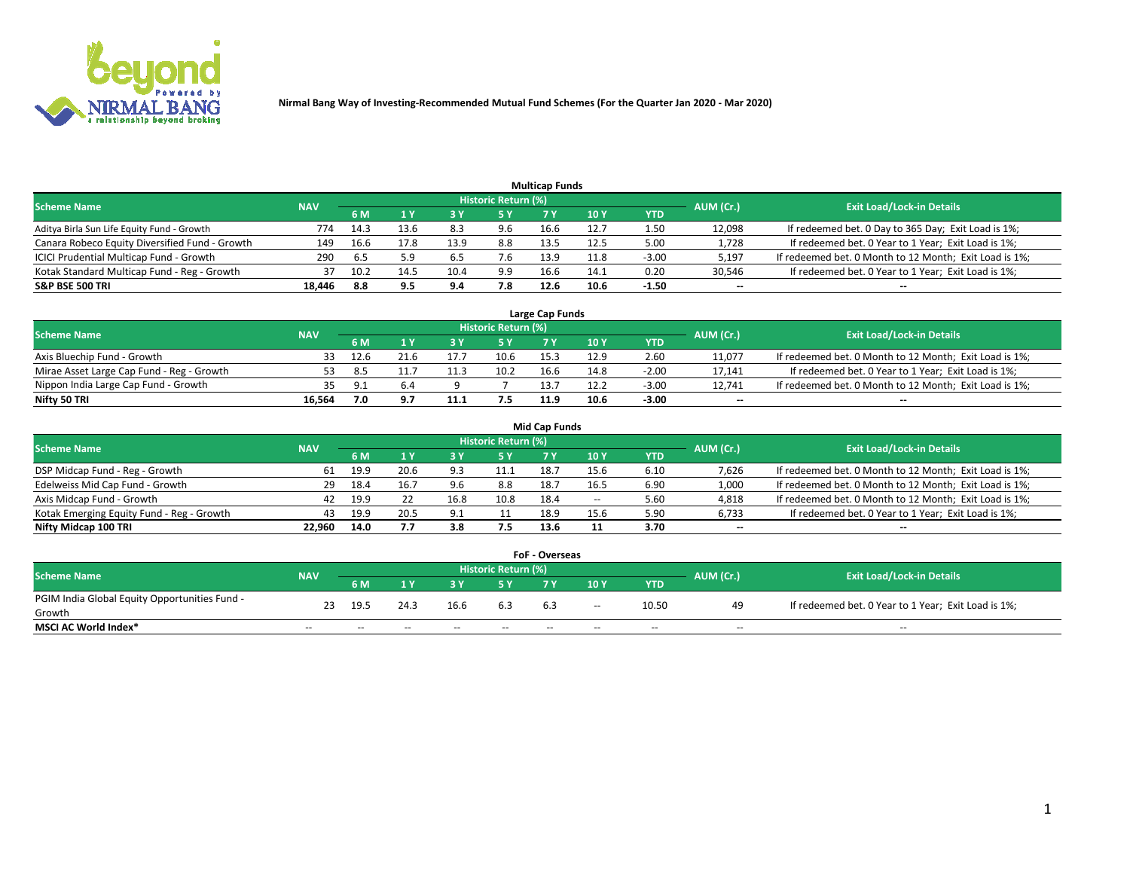

| <b>Multicap Funds</b>                          |            |      |                         |      |                     |      |                 |         |                          |                                                        |  |  |  |  |
|------------------------------------------------|------------|------|-------------------------|------|---------------------|------|-----------------|---------|--------------------------|--------------------------------------------------------|--|--|--|--|
| Scheme Name                                    | <b>NAV</b> |      |                         |      | Historic Return (%) |      |                 |         | AUM (Cr.)                | <b>Exit Load/Lock-in Details</b>                       |  |  |  |  |
|                                                |            | 6 M  | $\mathbf{A} \mathbf{V}$ |      | 5 Y                 |      | 10 <sub>Y</sub> | YTD     |                          |                                                        |  |  |  |  |
| Aditya Birla Sun Life Equity Fund - Growth     | 774        | 14.3 | 13.6                    | 8.3  | 9.6                 | 16.6 | 12.7            | 1.50    | 12,098                   | If redeemed bet. 0 Day to 365 Day; Exit Load is 1%;    |  |  |  |  |
| Canara Robeco Equity Diversified Fund - Growth | 149        | 16.6 | 17.8                    | 13.9 | 8.8                 | 13.5 | 12.5            | 5.00    | 1,728                    | If redeemed bet. 0 Year to 1 Year; Exit Load is 1%;    |  |  |  |  |
| ICICI Prudential Multicap Fund - Growth        | 290        | -6.5 | 5.9                     | 6.5  | 7.6                 | 13.9 | 11.8            | $-3.00$ | 5,197                    | If redeemed bet. 0 Month to 12 Month; Exit Load is 1%; |  |  |  |  |
| Kotak Standard Multicap Fund - Reg - Growth    | 37         | 10.2 | 14.5                    | 10.4 | 9.9                 | 16.6 | 14.1            | 0.20    | 30,546                   | If redeemed bet. 0 Year to 1 Year; Exit Load is 1%;    |  |  |  |  |
| <b>S&amp;P BSE 500 TRI</b>                     | 18.446     | 8.8  | 9.5                     | 9.4  | 7.8                 | 12.6 | 10.6            | $-1.50$ | $\overline{\phantom{a}}$ | $-$                                                    |  |  |  |  |

| Large Cap Funds                           |            |           |                                  |      |      |      |      |         |        |                                                        |  |  |  |  |
|-------------------------------------------|------------|-----------|----------------------------------|------|------|------|------|---------|--------|--------------------------------------------------------|--|--|--|--|
| Scheme Name                               | <b>NAV</b> | AUM (Cr.) | <b>Exit Load/Lock-in Details</b> |      |      |      |      |         |        |                                                        |  |  |  |  |
|                                           |            | 6 M       |                                  |      | 5 Y  |      | 10Y  | YTD     |        |                                                        |  |  |  |  |
| Axis Bluechip Fund - Growth               |            | 12.6      | 21.6                             |      | 10.6 | 15.3 | 12.9 | 2.60    | 11,077 | If redeemed bet. 0 Month to 12 Month; Exit Load is 1%; |  |  |  |  |
| Mirae Asset Large Cap Fund - Reg - Growth | 53         |           |                                  | 11.3 | 10.2 | 16.6 | 14.8 | $-2.00$ | 17,141 | If redeemed bet. 0 Year to 1 Year; Exit Load is 1%;    |  |  |  |  |
| Nippon India Large Cap Fund - Growth      |            |           |                                  |      |      | 13.  |      | $-3.00$ | 12.741 | If redeemed bet. 0 Month to 12 Month; Exit Load is 1%; |  |  |  |  |
| Nifty 50 TRI                              | 16.564     | 7.0       | J.,                              | 11.1 |      | 11.9 | 10.6 | $-3.00$ | $\sim$ | $\sim$                                                 |  |  |  |  |

| <b>Mid Cap Funds</b>                      |            |      |      |                |                     |      |       |            |           |                                                        |  |  |  |  |
|-------------------------------------------|------------|------|------|----------------|---------------------|------|-------|------------|-----------|--------------------------------------------------------|--|--|--|--|
| <b>Scheme Name</b>                        | <b>NAV</b> |      |      |                | Historic Return (%) |      |       |            | AUM (Cr.) | <b>Exit Load/Lock-in Details</b>                       |  |  |  |  |
|                                           |            | 6 M  |      |                |                     |      | 10 Y  | <b>YTD</b> |           |                                                        |  |  |  |  |
| DSP Midcap Fund - Reg - Growth            | 61         | 19.9 | 20.6 | ۹R             | 11.1                | 18.7 | 15.6  | 6.10       | 7,626     | If redeemed bet. 0 Month to 12 Month; Exit Load is 1%; |  |  |  |  |
| Edelweiss Mid Cap Fund - Growth           | 29         | 18.4 | 16.7 | 9.6            | 8.8                 | 18.7 | 16.5  | 6.90       | 1,000     | If redeemed bet. 0 Month to 12 Month; Exit Load is 1%; |  |  |  |  |
| Axis Midcap Fund - Growth                 | 42         | 19.9 |      | 16.8           | 10.8                | 18.4 | $- -$ | 5.60       | 4,818     | If redeemed bet. 0 Month to 12 Month; Exit Load is 1%; |  |  |  |  |
| Kotak Emerging Equity Fund - Reg - Growth | 43         | 19.9 | 20.5 | Q <sub>1</sub> | 11                  | 18.9 | 15.6  | 5.90       | 6,733     | If redeemed bet. 0 Year to 1 Year; Exit Load is 1%;    |  |  |  |  |
| Nifty Midcap 100 TRI                      | 22.960     | 14.0 |      | 3.8            | 7.5                 | 13.6 |       | 3.70       | $\sim$    | $\sim$                                                 |  |  |  |  |

| <b>FoF - Overseas</b>                         |            |       |           |                                  |       |     |        |            |       |                                                     |  |  |  |  |
|-----------------------------------------------|------------|-------|-----------|----------------------------------|-------|-----|--------|------------|-------|-----------------------------------------------------|--|--|--|--|
| <b>Scheme Name</b>                            | <b>NAV</b> |       | AUM (Cr.) | <b>Exit Load/Lock-in Details</b> |       |     |        |            |       |                                                     |  |  |  |  |
|                                               |            | 6 M   |           |                                  |       |     | 10Y    | <b>YTD</b> |       |                                                     |  |  |  |  |
| PGIM India Global Equity Opportunities Fund - | 23         | 19.5  | 24.3      | 16.6                             | 6.3   |     | $\sim$ | 10.50      | 49    | If redeemed bet. 0 Year to 1 Year; Exit Load is 1%; |  |  |  |  |
| Growth                                        |            |       |           |                                  |       | 6.3 |        |            |       |                                                     |  |  |  |  |
| <b>MSCI AC World Index*</b>                   | $- -$      | $- -$ | $- -$     | $- -$                            | $- -$ | --  | $- -$  | $- -$      | $- -$ | $- -$                                               |  |  |  |  |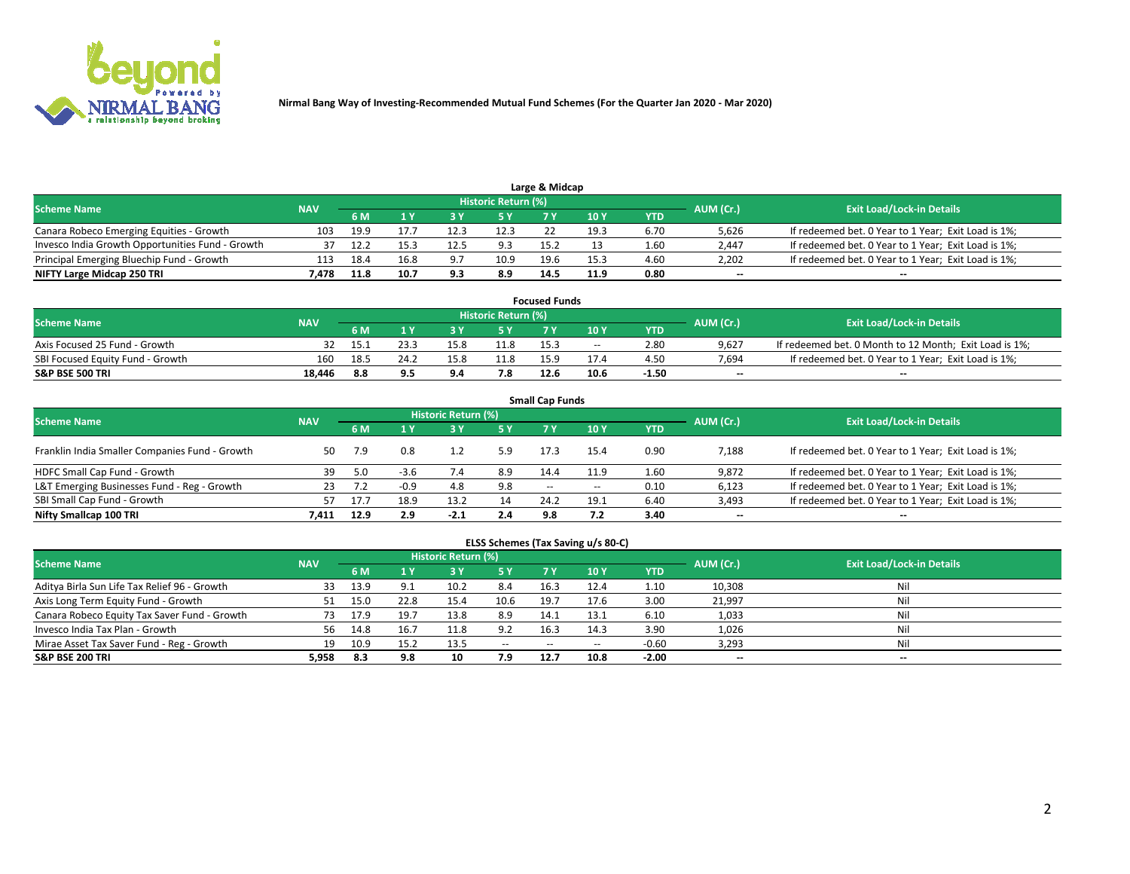

| Large & Midcap                                   |            |      |      |       |                     |      |           |                                  |                          |                                                     |  |  |  |  |
|--------------------------------------------------|------------|------|------|-------|---------------------|------|-----------|----------------------------------|--------------------------|-----------------------------------------------------|--|--|--|--|
| <b>Scheme Name</b>                               | <b>NAV</b> |      |      |       | Historic Return (%) |      | AUM (Cr.) | <b>Exit Load/Lock-in Details</b> |                          |                                                     |  |  |  |  |
|                                                  |            | 6 M  |      |       | 5 Y                 |      | 10Y       | YTD.                             |                          |                                                     |  |  |  |  |
| Canara Robeco Emerging Equities - Growth         | 103        | 19.9 |      |       | 12.3                |      | 19.3      | 6.70                             | 5,626                    | If redeemed bet. 0 Year to 1 Year; Exit Load is 1%; |  |  |  |  |
| Invesco India Growth Opportunities Fund - Growth |            |      |      |       | 9.3                 | 15.2 |           | 1.60                             | 2,447                    | If redeemed bet. 0 Year to 1 Year; Exit Load is 1%; |  |  |  |  |
| Principal Emerging Bluechip Fund - Growth        | 113        | 18.4 | 16.8 | $Q$ . | 10.9                | 19.6 | 15.3      | 4.60                             | 2,202                    | If redeemed bet. 0 Year to 1 Year; Exit Load is 1%; |  |  |  |  |
| NIFTY Large Midcap 250 TRI                       | 478.       | 11.8 | 10.7 | 9.3   | 8.9                 | 14.5 | 11.9      | 0.80                             | $\overline{\phantom{a}}$ | $- -$                                               |  |  |  |  |

| <b>Focused Funds</b>             |            |      |      |      |                     |      |       |         |           |                                                        |  |  |  |
|----------------------------------|------------|------|------|------|---------------------|------|-------|---------|-----------|--------------------------------------------------------|--|--|--|
| <b>Scheme Name</b>               | <b>NAV</b> |      |      |      | Historic Return (%) |      |       |         |           | <b>Exit Load/Lock-in Details</b>                       |  |  |  |
|                                  |            | 6 M  |      |      |                     |      | 10 Y  | YTD     | AUM (Cr.) |                                                        |  |  |  |
| Axis Focused 25 Fund - Growth    |            |      |      | 15.8 | 11.8                | 15.3 | $- -$ | 2.80    | 9.627     | If redeemed bet. 0 Month to 12 Month; Exit Load is 1%; |  |  |  |
| SBI Focused Equity Fund - Growth | 160        | 18.5 | 24.2 |      | 11.8                | 15.9 |       | 4.50    | 7.694     | If redeemed bet. 0 Year to 1 Year; Exit Load is 1%;    |  |  |  |
| <b>S&amp;P BSE 500 TRI</b>       | 18.446     | 8.8  | 9.5  | 9 A  | 7.8                 | 12.6 | 10.6  | $-1.50$ | $\sim$    | $- -$                                                  |  |  |  |

| <b>Small Cap Funds</b>                         |            |      |        |                     |     |                          |                 |            |                          |                                                     |  |  |  |  |
|------------------------------------------------|------------|------|--------|---------------------|-----|--------------------------|-----------------|------------|--------------------------|-----------------------------------------------------|--|--|--|--|
| <b>Scheme Name</b>                             | <b>NAV</b> |      |        | Historic Return (%) |     |                          |                 |            |                          | <b>Exit Load/Lock-in Details</b>                    |  |  |  |  |
|                                                |            | 6 M  |        |                     | 5 Y | <b>7 Y</b>               | 10 <sub>Y</sub> | <b>YTD</b> | AUM (Cr.)                |                                                     |  |  |  |  |
| Franklin India Smaller Companies Fund - Growth | 50         |      | 0.8    |                     | 5.9 | 17.3                     | 15.4            | 0.90       | 7,188                    | If redeemed bet. 0 Year to 1 Year; Exit Load is 1%; |  |  |  |  |
| HDFC Small Cap Fund - Growth                   | 39         | 5.0  | $-3.6$ | 7.4                 | 8.9 | 14.4                     | 11.9            | 1.60       | 9,872                    | If redeemed bet. 0 Year to 1 Year; Exit Load is 1%; |  |  |  |  |
| L&T Emerging Businesses Fund - Reg - Growth    | 23         | 7.2  | $-0.9$ | 4.8                 | 9.8 | $\overline{\phantom{a}}$ | $- -$           | 0.10       | 6,123                    | If redeemed bet. 0 Year to 1 Year; Exit Load is 1%; |  |  |  |  |
| SBI Small Cap Fund - Growth                    | 57         |      | 18.9   | 13.2                | 14  | 24.2                     | 19.1            | 6.40       | 3,493                    | If redeemed bet. 0 Year to 1 Year; Exit Load is 1%; |  |  |  |  |
| Nifty Smallcap 100 TRI                         | 7.411      | 12.9 | 2.9    | $-2.1$              | 2.4 | 9.8                      | 7.2             | 3.40       | $\overline{\phantom{m}}$ | $\overline{\phantom{a}}$                            |  |  |  |  |

## **ELSS Schemes (Tax Saving u/s 80-C)**

| <b>Scheme Name</b>                           | <b>NAV</b> |      |                         | <b>Historic Return (%)</b> |       |      |       |         | AUM (Cr.) | <b>Exit Load/Lock-in Details</b> |
|----------------------------------------------|------------|------|-------------------------|----------------------------|-------|------|-------|---------|-----------|----------------------------------|
|                                              |            | 6 M  | $\mathbf{1} \mathbf{V}$ | <b>3Y</b>                  | 5 Y   | 7 Y. | 10Y   | YTD     |           |                                  |
| Aditya Birla Sun Life Tax Relief 96 - Growth | 33         | 13.9 |                         | 10.2                       | 8.4   | 16.3 | 12.4  | 1.10    | 10,308    | Nil                              |
| Axis Long Term Equity Fund - Growth          | 51         | 15.U | 22.8                    | 15.4                       | 10.6  | 19.7 | 17.6  | 3.00    | 21,997    | Nil                              |
| Canara Robeco Equity Tax Saver Fund - Growth | 73.        | 17.9 | 19.7                    | 13.8                       | 8.9   | 14.1 | 13.1  | 6.10    | 1,033     | Nil                              |
| Invesco India Tax Plan - Growth              | 56         | 14.8 | 16.7                    |                            | 9.2   | 16.3 | 14.3  | 3.90    | 1,026     | Nil                              |
| Mirae Asset Tax Saver Fund - Reg - Growth    | 19         | 10.9 | 15.2                    | 13.5                       | $- -$ | --   | $- -$ | $-0.60$ | 3,293     | Nil                              |
| S&P BSE 200 TRI                              | 5,958      | -8.3 | 9.8                     | 10                         | 7.9   | 12.7 | 10.8  | $-2.00$ | $\sim$    | $- -$                            |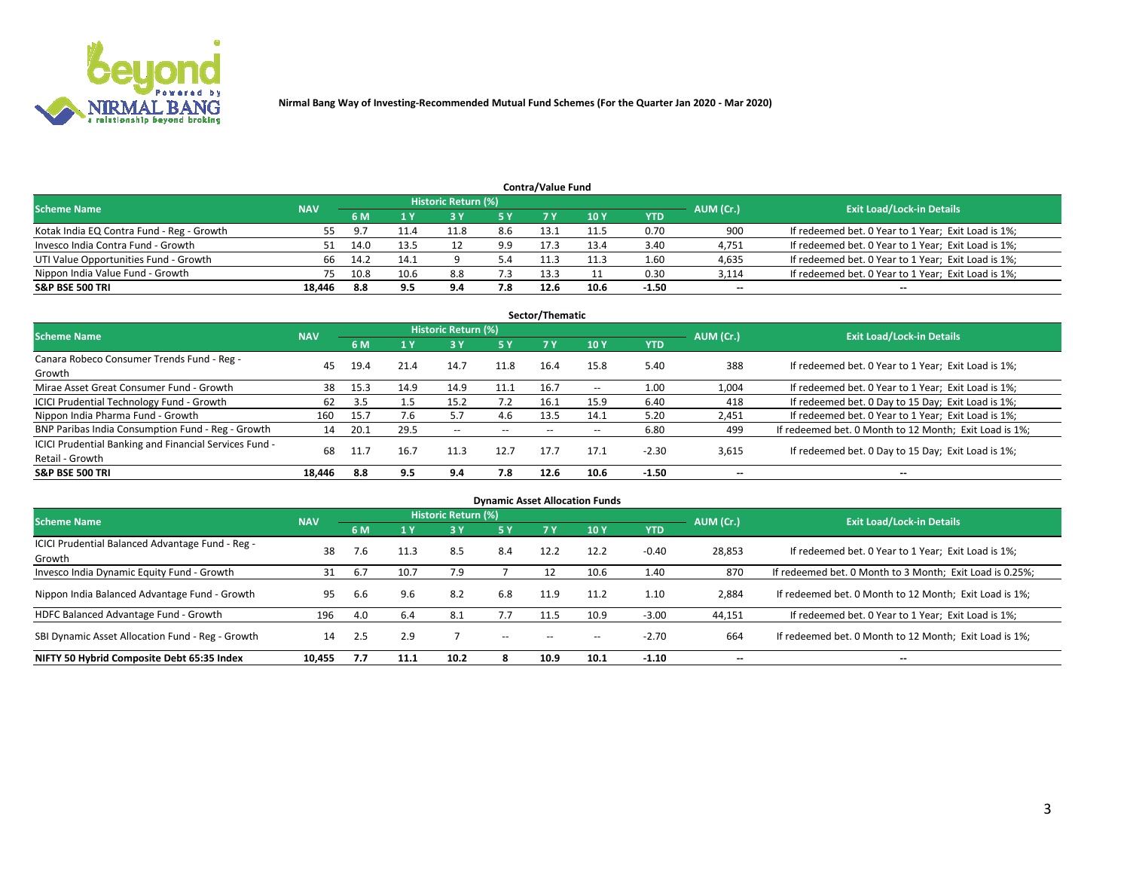

| <b>Contra/Value Fund</b><br>Historic Return (%) |            |      |      |     |     |      |      |         |           |                                                     |  |  |  |  |
|-------------------------------------------------|------------|------|------|-----|-----|------|------|---------|-----------|-----------------------------------------------------|--|--|--|--|
| <b>Scheme Name</b>                              | <b>NAV</b> | 6 M  |      |     | 5 Y | 7 V  | 10Y  | YTD     | AUM (Cr.) | <b>Exit Load/Lock-in Details</b>                    |  |  |  |  |
| Kotak India EQ Contra Fund - Reg - Growth       |            | 9.7  |      |     | 8.6 | 13.1 |      | 0.70    | 900       | If redeemed bet. 0 Year to 1 Year; Exit Load is 1%; |  |  |  |  |
| Invesco India Contra Fund - Growth              |            | 14.0 | L3.5 |     | 9.9 | 17.3 | 13.4 | 3.40    | 4,751     | If redeemed bet. 0 Year to 1 Year; Exit Load is 1%; |  |  |  |  |
| UTI Value Opportunities Fund - Growth           | 66         | 14.2 | 14.1 |     |     |      | 11.3 | 1.60    | 4,635     | If redeemed bet. 0 Year to 1 Year; Exit Load is 1%; |  |  |  |  |
| Nippon India Value Fund - Growth                |            | 10.8 | 10.6 | 8.8 | 7.3 | 13.3 |      | 0.30    | 3,114     | If redeemed bet. 0 Year to 1 Year; Exit Load is 1%; |  |  |  |  |
| <b>S&amp;P BSE 500 TRI</b>                      | 18.446     | 8.8  | 9.5  | 9.4 | 7.8 | 12.6 | 10.6 | $-1.50$ | $\sim$    | $- -$                                               |  |  |  |  |

|                                                                           |            |      |      |                     |      | Sector/Thematic |               |            |           |                                                        |
|---------------------------------------------------------------------------|------------|------|------|---------------------|------|-----------------|---------------|------------|-----------|--------------------------------------------------------|
| <b>Scheme Name</b>                                                        | <b>NAV</b> |      |      | Historic Return (%) |      |                 |               |            | AUM (Cr.) | <b>Exit Load/Lock-in Details</b>                       |
|                                                                           |            | 6 M  | 1 Y  | 73 Y                | 15 Y | 7 Y             | 10Y           | <b>YTD</b> |           |                                                        |
| Canara Robeco Consumer Trends Fund - Reg -<br>Growth                      | 45         | 19.4 | 21.4 | 14.7                | 11.8 | 16.4            | 15.8          | 5.40       | 388       | If redeemed bet. 0 Year to 1 Year; Exit Load is 1%;    |
| Mirae Asset Great Consumer Fund - Growth                                  | 38         | 15.3 | 14.9 | 14.9                | 11.1 | 16.7            | $\sim$ $\sim$ | 1.00       | 1,004     | If redeemed bet. 0 Year to 1 Year; Exit Load is 1%;    |
| <b>ICICI Prudential Technology Fund - Growth</b>                          | 62         | 3.5  |      | 15.2                | 7.2  | 16.1            | 15.9          | 6.40       | 418       | If redeemed bet. 0 Day to 15 Day; Exit Load is 1%;     |
| Nippon India Pharma Fund - Growth                                         | 160        | 15.7 | 7.6  | 5.7                 | 4.6  | 13.5            | 14.1          | 5.20       | 2,451     | If redeemed bet. 0 Year to 1 Year; Exit Load is 1%;    |
| BNP Paribas India Consumption Fund - Reg - Growth                         | 14         | 20.1 | 29.5 | $- -$               | --   | --              | $- -$         | 6.80       | 499       | If redeemed bet. 0 Month to 12 Month; Exit Load is 1%; |
| ICICI Prudential Banking and Financial Services Fund -<br>Retail - Growth | 68         | 11.7 | 16.7 | 11.3                | 12.7 | 17.7            | 17.1          | $-2.30$    | 3,615     | If redeemed bet. 0 Day to 15 Day; Exit Load is 1%;     |
| <b>S&amp;P BSE 500 TRI</b>                                                | 18,446     | 8.8  | 9.5  | 9.4                 | 7.8  | 12.6            | 10.6          | $-1.50$    | --        | $\overline{\phantom{a}}$                               |

| <b>Dynamic Asset Allocation Funds</b>                      |            |     |      |                     |                          |       |                 |            |                          |                                                          |  |  |  |
|------------------------------------------------------------|------------|-----|------|---------------------|--------------------------|-------|-----------------|------------|--------------------------|----------------------------------------------------------|--|--|--|
| <b>Scheme Name</b>                                         | <b>NAV</b> |     |      | Historic Return (%) |                          |       |                 |            | AUM (Cr.)                | <b>Exit Load/Lock-in Details</b>                         |  |  |  |
|                                                            |            | 6 M |      | 3 <sup>1</sup>      | 5 Y                      | 7 Y   | 10 <sub>Y</sub> | <b>YTD</b> |                          |                                                          |  |  |  |
| ICICI Prudential Balanced Advantage Fund - Reg -<br>Growth | 38         | 7.6 | 11.3 | 8.5                 | 8.4                      | 12.2  | 12.2            | $-0.40$    | 28,853                   | If redeemed bet. 0 Year to 1 Year; Exit Load is 1%;      |  |  |  |
| Invesco India Dynamic Equity Fund - Growth                 | 31         | 6.7 | 10.7 | 7.9                 |                          | 12    | 10.6            | 1.40       | 870                      | If redeemed bet. 0 Month to 3 Month; Exit Load is 0.25%; |  |  |  |
| Nippon India Balanced Advantage Fund - Growth              | 95         | 6.6 | 9.6  | 8.2                 | 6.8                      | 11.9  | 11.2            | 1.10       | 2,884                    | If redeemed bet. 0 Month to 12 Month; Exit Load is 1%;   |  |  |  |
| HDFC Balanced Advantage Fund - Growth                      | 196        | 4.0 | 6.4  | -8.1                | 7.7                      | 11.5  | 10.9            | $-3.00$    | 44,151                   | If redeemed bet. 0 Year to 1 Year; Exit Load is 1%;      |  |  |  |
| SBI Dynamic Asset Allocation Fund - Reg - Growth           | 14         | 2.5 | 2.9  |                     | $\overline{\phantom{a}}$ | $- -$ | --              | $-2.70$    | 664                      | If redeemed bet. 0 Month to 12 Month; Exit Load is 1%;   |  |  |  |
| NIFTY 50 Hybrid Composite Debt 65:35 Index                 | 10,455     | 7.7 | 11.1 | 10.2                | 8                        | 10.9  | 10.1            | $-1.10$    | $\overline{\phantom{a}}$ | $\overline{\phantom{m}}$                                 |  |  |  |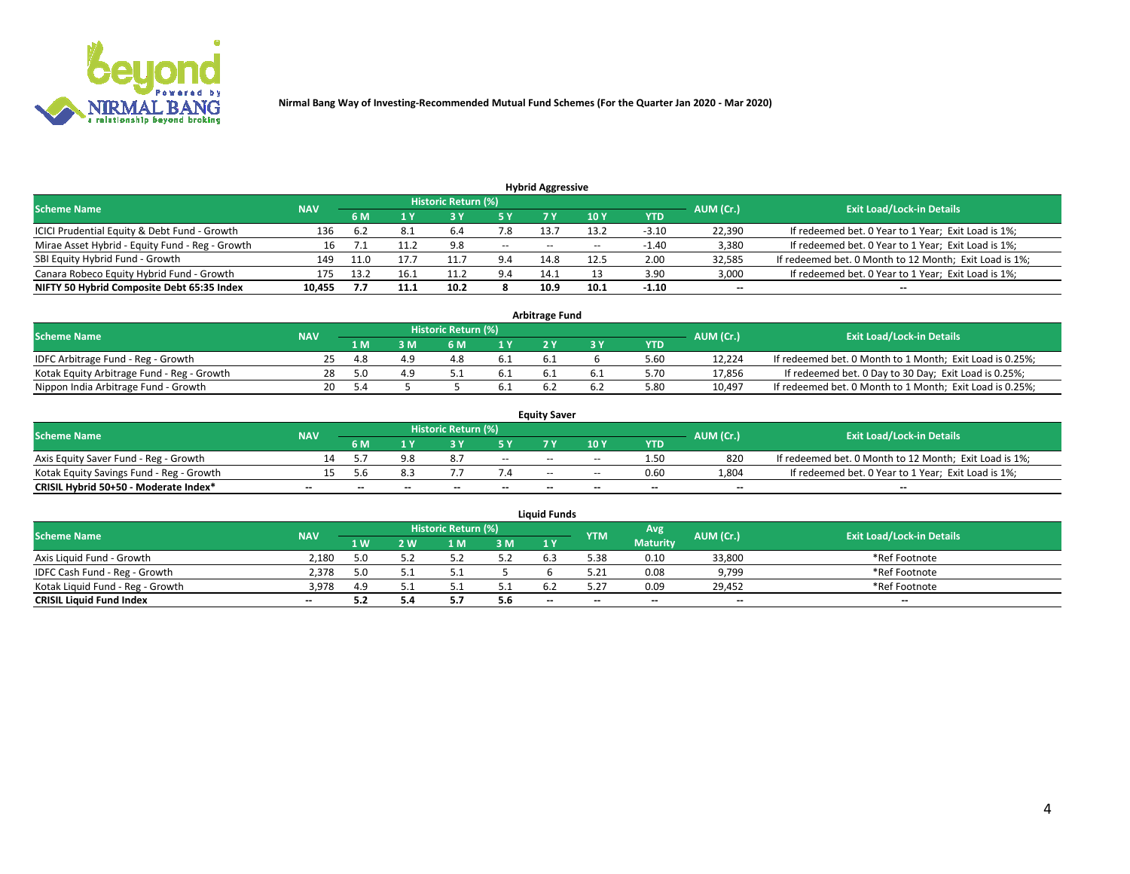

| <b>Hybrid Aggressive</b>                        |            |      |      |                     |       |       |                 |         |                          |                                                        |  |  |  |  |
|-------------------------------------------------|------------|------|------|---------------------|-------|-------|-----------------|---------|--------------------------|--------------------------------------------------------|--|--|--|--|
| <b>Scheme Name</b>                              | <b>NAV</b> |      |      | Historic Return (%) |       |       |                 |         | AUM (Cr.)                | <b>Exit Load/Lock-in Details</b>                       |  |  |  |  |
|                                                 |            | 6 M  |      |                     | 5 Y   | 7 Y   | 10 <sub>Y</sub> | YTD     |                          |                                                        |  |  |  |  |
| ICICI Prudential Equity & Debt Fund - Growth    | 136        | 6.2  | 8.1  | 6.4                 | 7.8   | 13.7  | 13.2            | $-3.10$ | 22,390                   | If redeemed bet. 0 Year to 1 Year; Exit Load is 1%;    |  |  |  |  |
| Mirae Asset Hybrid - Equity Fund - Reg - Growth |            |      |      | 9.8                 | $- -$ | $- -$ | $- -$           | $-1.40$ | 3,380                    | If redeemed bet. 0 Year to 1 Year; Exit Load is 1%;    |  |  |  |  |
| SBI Equity Hybrid Fund - Growth                 | 149        | 11.0 |      | 11.                 | 9.4   | 14.8  | 12.5            | 2.00    | 32,585                   | If redeemed bet. 0 Month to 12 Month; Exit Load is 1%; |  |  |  |  |
| Canara Robeco Equity Hybrid Fund - Growth       | 175        | 13.2 | 16.1 |                     | 9.4   | 14.1  |                 | 3.90    | 3,000                    | If redeemed bet. 0 Year to 1 Year; Exit Load is 1%;    |  |  |  |  |
| NIFTY 50 Hybrid Composite Debt 65:35 Index      | 10,455     |      | 11.1 | 10.2                |       | 10.9  | 10.1            | $-1.10$ | $\overline{\phantom{a}}$ | $- -$                                                  |  |  |  |  |

|                                            |            |           |                                  |     |      | <b>Arbitrage Fund</b> |      |        |                                                          |
|--------------------------------------------|------------|-----------|----------------------------------|-----|------|-----------------------|------|--------|----------------------------------------------------------|
| Scheme Name                                | <b>NAV</b> | AUM (Cr.) | <b>Exit Load/Lock-in Details</b> |     |      |                       |      |        |                                                          |
|                                            |            | 1 M       | ያ M                              | 6 M |      |                       | YTD  |        |                                                          |
| IDFC Arbitrage Fund - Reg - Growth         | 25.        | -4.8      |                                  |     | 6.1  | 6.1                   | 5.60 | 12.224 | If redeemed bet. 0 Month to 1 Month; Exit Load is 0.25%; |
| Kotak Equity Arbitrage Fund - Reg - Growth | 28         | 5.0       |                                  |     | -6.1 |                       | 5.70 | 17,856 | If redeemed bet. 0 Day to 30 Day; Exit Load is 0.25%;    |
| Nippon India Arbitrage Fund - Growth       | 20         |           |                                  |     | 6.1  |                       | 5.80 | 10.497 | If redeemed bet. 0 Month to 1 Month; Exit Load is 0.25%; |

|                                          |            |           |                                  |                          |                          | <b>Equity Saver</b> |        |            |                          |                                                        |
|------------------------------------------|------------|-----------|----------------------------------|--------------------------|--------------------------|---------------------|--------|------------|--------------------------|--------------------------------------------------------|
| Scheme Name                              | <b>NAV</b> | AUM (Cr.) | <b>Exit Load/Lock-in Details</b> |                          |                          |                     |        |            |                          |                                                        |
|                                          |            | 6 M       |                                  |                          |                          |                     | 10 Y   | <b>YTD</b> |                          |                                                        |
| Axis Equity Saver Fund - Reg - Growth    |            |           |                                  |                          | $\sim$                   | $- -$               | $\sim$ | 1.50       | 820                      | If redeemed bet. 0 Month to 12 Month; Exit Load is 1%; |
| Kotak Equity Savings Fund - Reg - Growth |            | ı.h       |                                  |                          |                          | $\sim$ $\sim$       | $\sim$ | 0.60       | 1,804                    | If redeemed bet. 0 Year to 1 Year; Exit Load is 1%;    |
| CRISIL Hybrid 50+50 - Moderate Index*    |            | --        | $-$                              | $\overline{\phantom{a}}$ | $\overline{\phantom{a}}$ | $\sim$              | --     | $- -$      | $\overline{\phantom{a}}$ | $-$                                                    |

| <b>Liquid Funds</b>              |            |      |     |                            |      |                          |            |                 |           |                                  |  |  |  |  |
|----------------------------------|------------|------|-----|----------------------------|------|--------------------------|------------|-----------------|-----------|----------------------------------|--|--|--|--|
| Scheme Name                      | <b>NAV</b> |      |     | <b>Historic Return (%)</b> |      |                          | <b>YTM</b> | Avg             | AUM (Cr.) | <b>Exit Load/Lock-in Details</b> |  |  |  |  |
|                                  |            | 1 W. | 2 W | 1 M                        | 3M   | 71 Y                     |            | <b>Maturity</b> |           |                                  |  |  |  |  |
| Axis Liquid Fund - Growth        | 2,180      |      |     |                            | 5.2  |                          | 5.38       | 0.10            | 33,800    | *Ref Footnote                    |  |  |  |  |
| IDFC Cash Fund - Reg - Growth    | 2,378      |      |     |                            |      |                          | 5.21       | 0.08            | 9,799     | *Ref Footnote                    |  |  |  |  |
| Kotak Liquid Fund - Reg - Growth | 3,978      | 4.9  |     |                            | ۰۰ ت |                          |            | 0.09            | 29,452    | *Ref Footnote                    |  |  |  |  |
| <b>CRISIL Liquid Fund Index</b>  | $\sim$     | 5.2  |     |                            | 5.6  | $\overline{\phantom{a}}$ | $-$        | $- -$           | $\sim$    | $\sim$                           |  |  |  |  |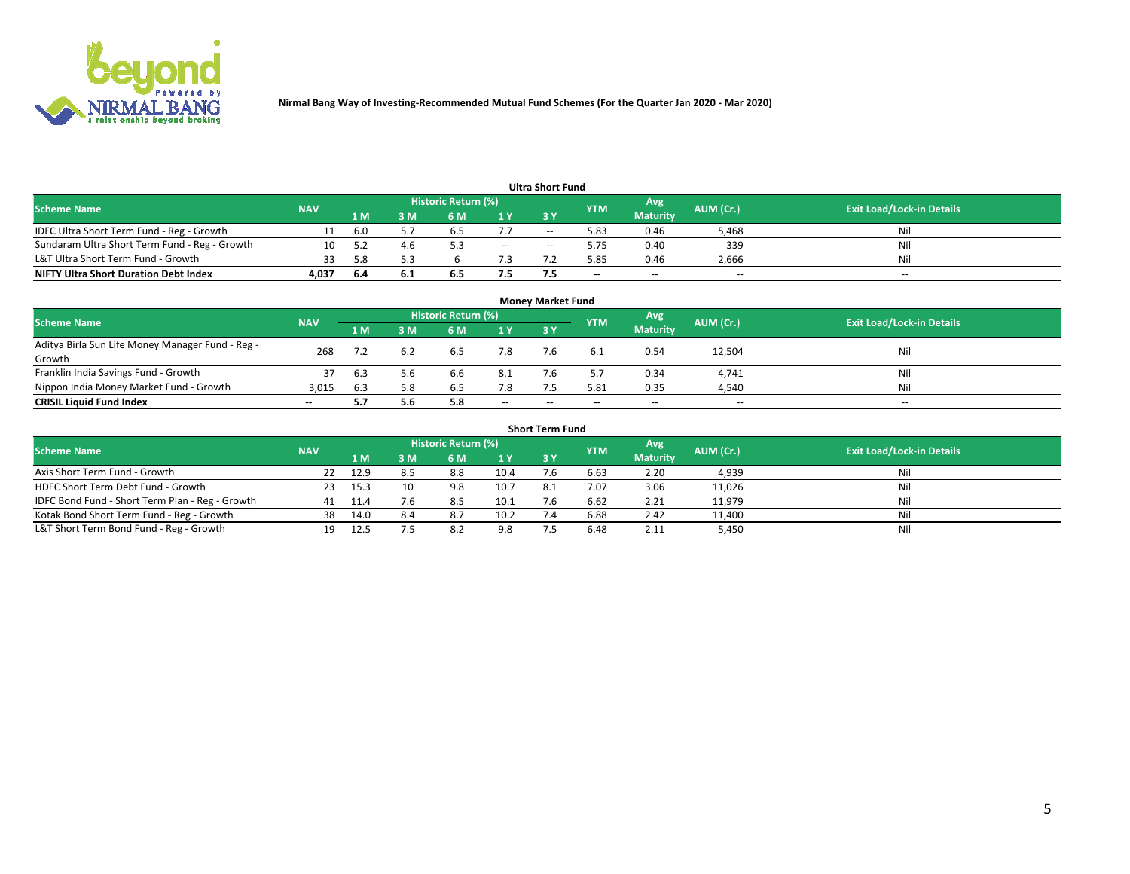

| <b>Ultra Short Fund</b>                       |            |      |     |                     |        |            |            |                 |           |                                  |  |  |  |  |
|-----------------------------------------------|------------|------|-----|---------------------|--------|------------|------------|-----------------|-----------|----------------------------------|--|--|--|--|
| <b>Scheme Name</b>                            | <b>NAV</b> |      |     | Historic Return (%) |        |            | <b>YTM</b> | Avg             | AUM (Cr.) | <b>Exit Load/Lock-in Details</b> |  |  |  |  |
|                                               |            | 1 M  | 3 M | 6 M                 | 1 Y    | <b>3 Y</b> |            | <b>Maturity</b> |           |                                  |  |  |  |  |
| IDFC Ultra Short Term Fund - Reg - Growth     |            | -6.0 |     |                     |        | $-$        | 5.83       | 0.46            | 5,468     | Nil                              |  |  |  |  |
| Sundaram Ultra Short Term Fund - Reg - Growth |            |      | 4.6 |                     | $\sim$ | --         | 5.75       | 0.40            | 339       | Nil                              |  |  |  |  |
| L&T Ultra Short Term Fund - Growth            |            | 58   |     |                     |        |            | 5.85       | 0.46            | 2,666     | Nil                              |  |  |  |  |
| <b>NIFTY Ultra Short Duration Debt Index</b>  | 4,037      | -6.4 | 6.1 | 6.5                 | 7.5    |            | $-$        | $-$             | $- -$     | $- -$                            |  |  |  |  |

| <b>Money Market Fund</b>                         |            |     |     |                     |        |    |            |                 |           |                                  |  |  |  |
|--------------------------------------------------|------------|-----|-----|---------------------|--------|----|------------|-----------------|-----------|----------------------------------|--|--|--|
| <b>Scheme Name</b>                               | <b>NAV</b> |     |     | Historic Return (%) |        |    | <b>YTM</b> | 'Avg            | AUM (Cr.) | <b>Exit Load/Lock-in Details</b> |  |  |  |
|                                                  |            | 1 M | 3 M | 6 M                 | 1 Y    | 3Y |            | <b>Maturity</b> |           |                                  |  |  |  |
| Aditya Birla Sun Life Money Manager Fund - Reg - | 268        |     |     | 6.5                 | 7.8    |    |            | 0.54            | 12,504    | Nil                              |  |  |  |
| Growth<br>Franklin India Savings Fund - Growth   |            | 6.3 | 5.6 | 6.6                 | 8.1    |    |            | 0.34            | 4,741     | Nil                              |  |  |  |
| Nippon India Money Market Fund - Growth          | 3,015      | 6.3 | 5.8 | 6.5                 | 7.8    |    | 5.81       | 0.35            | 4,540     | Nil                              |  |  |  |
| <b>CRISIL Liquid Fund Index</b>                  | $- -$      |     | 5.6 | 5.8                 | $\sim$ | -- | --         | $\sim$          | $\sim$    | $\sim$                           |  |  |  |

| <b>Short Term Fund</b>                          |            |        |     |                            |      |           |            |                 |           |                                  |  |  |  |  |
|-------------------------------------------------|------------|--------|-----|----------------------------|------|-----------|------------|-----------------|-----------|----------------------------------|--|--|--|--|
| <b>Scheme Name</b>                              | <b>NAV</b> |        |     | <b>Historic Return (%)</b> |      |           | <b>YTM</b> | Avg             | AUM (Cr.) | <b>Exit Load/Lock-in Details</b> |  |  |  |  |
|                                                 |            | 1 M    | 3 M | 6 M                        | 1Y   | <b>3Y</b> |            | <b>Maturity</b> |           |                                  |  |  |  |  |
| Axis Short Term Fund - Growth                   |            | 12.9   | 8.5 | 8.8                        | 10.4 |           | 6.63       | 2.20            | 4,939     | Nil                              |  |  |  |  |
| HDFC Short Term Debt Fund - Growth              | -23        | 15.3   | 10  | 9.8                        | 10.7 | 8.1       | 7.07       | 3.06            | 11,026    | Nil                              |  |  |  |  |
| IDFC Bond Fund - Short Term Plan - Reg - Growth | 41         | - 11.4 | 7.6 | 8.5                        | 10.1 |           | 6.62       | 2.21            | 11,979    | Nil                              |  |  |  |  |
| Kotak Bond Short Term Fund - Reg - Growth       | 38         | 14.0   | 8.4 | 8.7                        | 10.2 |           | 6.88       | 2.42            | 11,400    | Nil                              |  |  |  |  |
| L&T Short Term Bond Fund - Reg - Growth         |            | 12.5   |     | 8.2                        | 9.8  |           | 6.48       | 2.11            | 5,450     | Nil                              |  |  |  |  |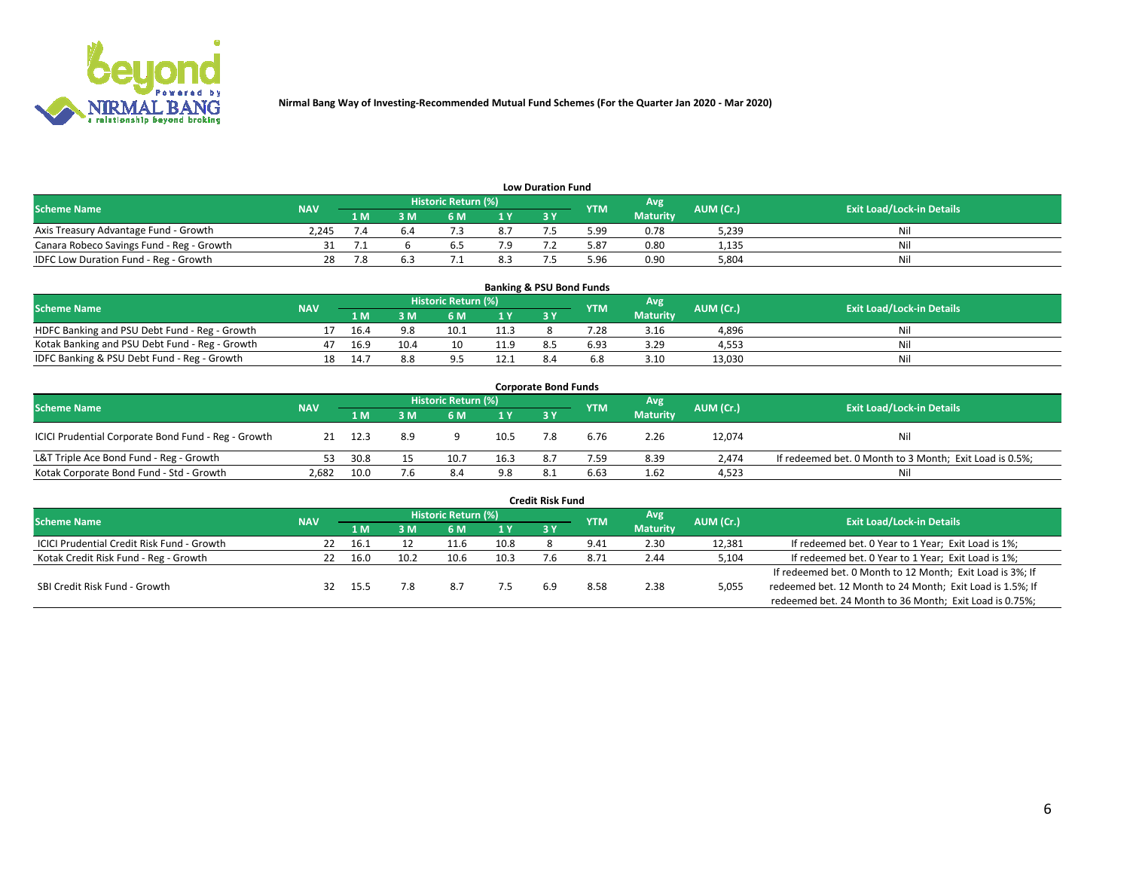

| <b>Low Duration Fund</b>                  |            |     |     |                            |     |  |            |                 |           |                                  |  |  |  |
|-------------------------------------------|------------|-----|-----|----------------------------|-----|--|------------|-----------------|-----------|----------------------------------|--|--|--|
| <b>Scheme Name</b>                        | <b>NAV</b> |     |     | <b>Historic Return (%)</b> |     |  | <b>YTM</b> | Avg             | AUM (Cr.) | <b>Exit Load/Lock-in Details</b> |  |  |  |
|                                           |            | 1 M | : M | 5 M                        | 1 V |  |            | <b>Maturity</b> |           |                                  |  |  |  |
| Axis Treasury Advantage Fund - Growth     | 2.245      |     |     |                            | 8.7 |  | 5.99       | 0.78            | 5,239     | Nil                              |  |  |  |
| Canara Robeco Savings Fund - Reg - Growth |            |     |     |                            |     |  | 5.87       | 0.80            | 1,135     | Nil                              |  |  |  |
| IDFC Low Duration Fund - Reg - Growth     |            |     |     |                            | 8.3 |  | 5.96       | 0.90            | 5.804     | Nil                              |  |  |  |

| <b>Banking &amp; PSU Bond Funds</b>            |            |      |      |                            |      |           |            |                 |           |                                  |  |  |  |
|------------------------------------------------|------------|------|------|----------------------------|------|-----------|------------|-----------------|-----------|----------------------------------|--|--|--|
| <b>Scheme Name</b>                             | <b>NAV</b> |      |      | <b>Historic Return (%)</b> |      |           | <b>YTM</b> | Avg             | AUM (Cr.) | <b>Exit Load/Lock-in Details</b> |  |  |  |
|                                                |            | 1 M  | sм   | 6 M                        | 71 Y | <b>3Y</b> |            | <b>Maturity</b> |           |                                  |  |  |  |
| HDFC Banking and PSU Debt Fund - Reg - Growth  |            | 16.4 | 9.8  | 10.1                       | 11.3 |           | 28         | 3.16            | 4,896     | Ni                               |  |  |  |
| Kotak Banking and PSU Debt Fund - Reg - Growth |            | 16.9 | 10.4 | 10                         | 11.9 |           | 6.93       | 3.29            | 4.553     | Ni                               |  |  |  |
| IDFC Banking & PSU Debt Fund - Reg - Growth    |            | 14.7 |      |                            | 12.7 |           |            | 3.10            | 13.030    | Ni                               |  |  |  |

| <b>Corporate Bond Funds</b>                         |            |                                                               |     |      |                                  |            |      |                 |        |                                                         |  |  |  |
|-----------------------------------------------------|------------|---------------------------------------------------------------|-----|------|----------------------------------|------------|------|-----------------|--------|---------------------------------------------------------|--|--|--|
| <b>Scheme Name</b>                                  | <b>NAV</b> | <b>Historic Return (%)</b><br>Avg'<br>AUM (Cr.)<br><b>YTM</b> |     |      | <b>Exit Load/Lock-in Details</b> |            |      |                 |        |                                                         |  |  |  |
|                                                     |            | 1 M                                                           | 3 M | 6 M  | 1 Y                              | <b>3 Y</b> |      | <b>Maturity</b> |        |                                                         |  |  |  |
| ICICI Prudential Corporate Bond Fund - Reg - Growth |            | 12.3                                                          | 8.9 |      | 10.5                             |            | 6.76 | 2.26            | 12,074 | Nil                                                     |  |  |  |
| L&T Triple Ace Bond Fund - Reg - Growth             |            | 30.8                                                          |     | 10.7 | 16.3                             | 8.7        | 7.59 | 8.39            | 2.474  | If redeemed bet. 0 Month to 3 Month; Exit Load is 0.5%; |  |  |  |
| Kotak Corporate Bond Fund - Std - Growth            | 2,682      | 10.0                                                          | 7.6 | 8.4  | 9.8                              |            | 6.63 | 1.62            | 4,523  | Nil                                                     |  |  |  |

| <b>Credit Risk Fund</b>                    |            |       |      |                            |      |    |            |                 |           |                                                           |  |  |  |
|--------------------------------------------|------------|-------|------|----------------------------|------|----|------------|-----------------|-----------|-----------------------------------------------------------|--|--|--|
| <b>Scheme Name</b>                         | <b>NAV</b> |       |      | <b>Historic Return (%)</b> |      |    | <b>YTM</b> | Avg             | AUM (Cr.) | <b>Exit Load/Lock-in Details</b>                          |  |  |  |
|                                            |            | 1 M   | IM   | 6 M                        | 1 Y  | 3Y |            | <b>Maturity</b> |           |                                                           |  |  |  |
| ICICI Prudential Credit Risk Fund - Growth | 22         | 16.1  |      | 11.6                       | 10.8 |    | 9.41       | 2.30            | 12,381    | If redeemed bet. 0 Year to 1 Year; Exit Load is 1%;       |  |  |  |
| Kotak Credit Risk Fund - Reg - Growth      | 22         | 16.0  | 10.2 | 10.6                       | 10.3 |    | 8.72       | 2.44            | 5,104     | If redeemed bet. 0 Year to 1 Year; Exit Load is 1%;       |  |  |  |
|                                            |            |       |      |                            |      |    |            |                 |           | If redeemed bet. 0 Month to 12 Month; Exit Load is 3%; If |  |  |  |
| SBI Credit Risk Fund - Growth              |            | -15.5 | 7.8  | 8.7                        |      | 69 | 8.58       | 2.38            | 5,055     | redeemed bet. 12 Month to 24 Month; Exit Load is 1.5%; If |  |  |  |
|                                            |            |       |      |                            |      |    |            |                 |           | redeemed bet. 24 Month to 36 Month; Exit Load is 0.75%;   |  |  |  |